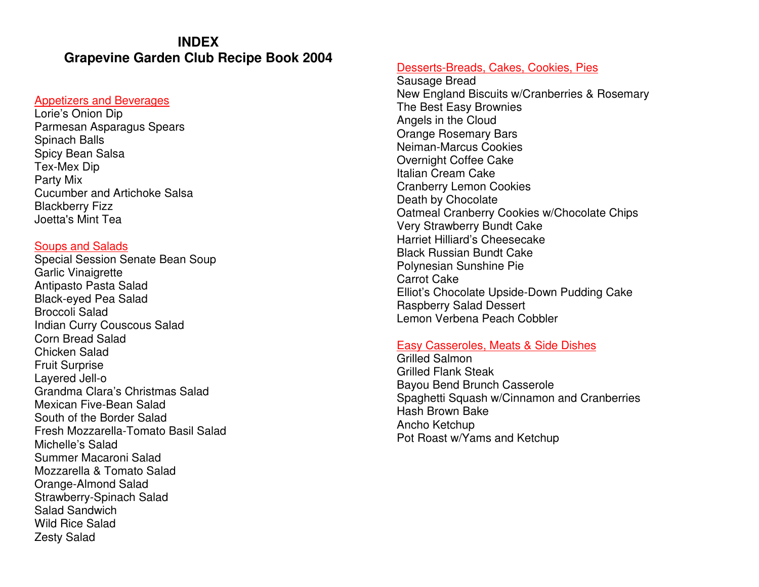# **INDEX Grapevine Garden Club Recipe Book 2004**

# Appetizers and Beverages

Lorie's Onion Dip Parmesan Asparagus Spears Spinach Balls Spicy Bean Salsa Tex-Mex Dip Party Mix Cucumber and Artichoke Salsa Blackberry Fizz Joetta's Mint Tea

## Soups and Salads

 Special Session Senate Bean Soup Garlic Vinaigrette Antipasto Pasta Salad Black-eyed Pea Salad Broccoli Salad Indian Curry Couscous Salad Corn Bread Salad Chicken Salad Fruit Surprise Layered Jell-o Grandma Clara's Christmas Salad Mexican Five-Bean Salad South of the Border Salad Fresh Mozzarella-Tomato Basil Salad Michelle's Salad Summer Macaroni Salad Mozzarella & Tomato Salad Orange-Almond Salad Strawberry-Spinach Salad Salad Sandwich Wild Rice Salad Zesty Salad

# Desserts-Breads, Cakes, Cookies, Pies

Sausage Bread New England Biscuits w/Cranberries & Rosemary The Best Easy Brownies Angels in the Cloud Orange Rosemary Bars Neiman-Marcus Cookies Overnight Coffee Cake Italian Cream Cake Cranberry Lemon Cookies Death by Chocolate Oatmeal Cranberry Cookies w/Chocolate Chips Very Strawberry Bundt Cake Harriet Hilliard's Cheesecake Black Russian Bundt Cake Polynesian Sunshine Pie Carrot Cake Elliot's Chocolate Upside-Down Pudding Cake Raspberry Salad Dessert Lemon Verbena Peach Cobbler

## Easy Casseroles, Meats & Side Dishes

Grilled Salmon Grilled Flank Steak Bayou Bend Brunch Casserole Spaghetti Squash w/Cinnamon and Cranberries Hash Brown Bake Ancho Ketchup Pot Roast w/Yams and Ketchup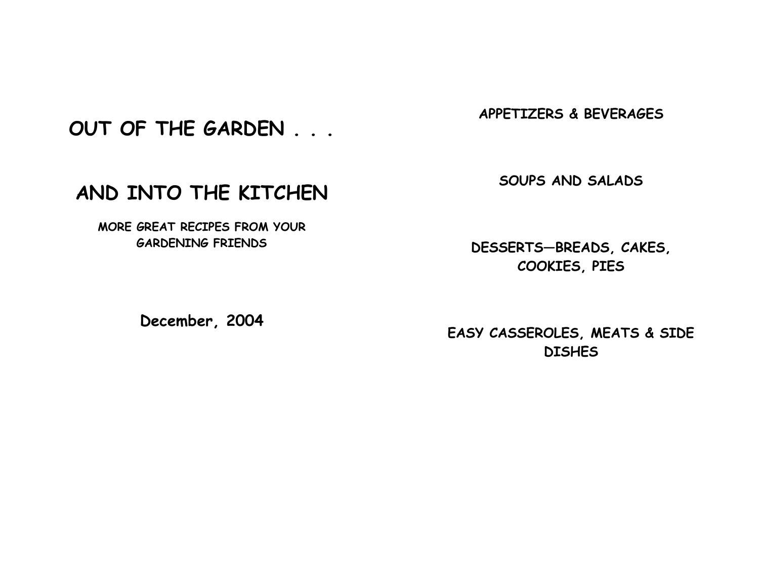OUT OF THE GARDEN . . .

AND INTO THE KITCHEN

MORE GREAT RECIPES FROM YOUR GARDENING FRIENDS

APPETIZERS & BEVERAGES

SOUPS AND SALADS

DESSERTS—BREADS, CAKES, COOKIES, PIES

December, 2004

EASY CASSEROLES, MEATS & SIDE **DISHES**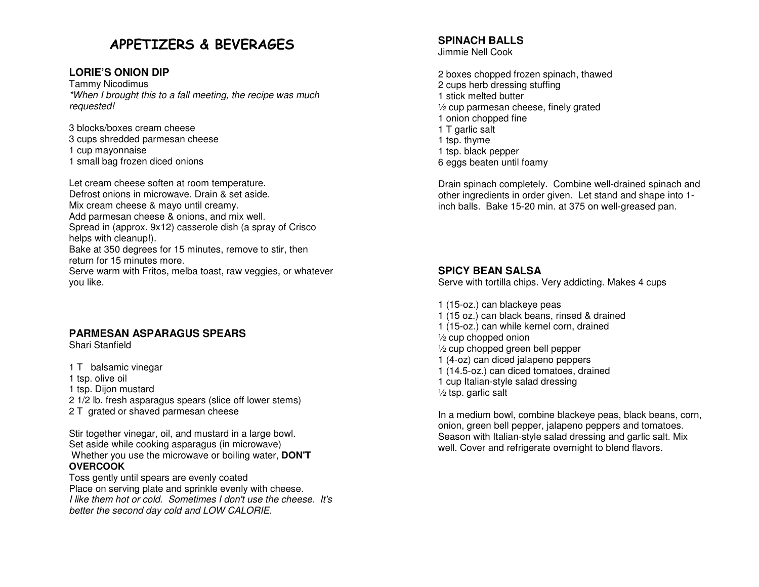# APPETIZERS & BEVERAGES

# **LORIE'S ONION DIP**

Tammy Nicodimus \*When I brought this to a fall meeting, the recipe was much requested!

3 blocks/boxes cream cheese 3 cups shredded parmesan cheese

1 cup mayonnaise

1 small bag frozen diced onions

Let cream cheese soften at room temperature. Defrost onions in microwave. Drain & set aside. Mix cream cheese & mayo until creamy. Add parmesan cheese & onions, and mix well. Spread in (approx. 9x12) casserole dish (a spray of Crisco helps with cleanup!). Bake at 350 degrees for 15 minutes, remove to stir, then return for 15 minutes more. Serve warm with Fritos, melba toast, raw veggies, or whatever you like.

# **PARMESAN ASPARAGUS SPEARS**

Shari Stanfield

1 T balsamic vinegar

1 tsp. olive oil

1 tsp. Dijon mustard

2 1/2 lb. fresh asparagus spears (slice off lower stems)

2 T grated or shaved parmesan cheese

Stir together vinegar, oil, and mustard in a large bowl. Set aside while cooking asparagus (in microwave) Whether you use the microwave or boiling water, **DON'T OVERCOOK**

 Toss gently until spears are evenly coated Place on serving plate and sprinkle evenly with cheese. I like them hot or cold. Sometimes I don't use the cheese. It's better the second day cold and LOW CALORIE.

# **SPINACH BALLS**

Jimmie Nell Cook

2 boxes chopped frozen spinach, thawed 2 cups herb dressing stuffing 1 stick melted butter ½ cup parmesan cheese, finely grated 1 onion chopped fine 1 T garlic salt 1 tsp. thyme 1 tsp. black pepper 6 eggs beaten until foamy

Drain spinach completely. Combine well-drained spinach and other ingredients in order given. Let stand and shape into 1inch balls. Bake 15-20 min. at 375 on well-greased pan.

# **SPICY BEAN SALSA**

Serve with tortilla chips. Very addicting. Makes 4 cups

- 1 (15-oz.) can blackeye peas
- 1 (15 oz.) can black beans, rinsed & drained
- 1 (15-oz.) can while kernel corn, drained

½ cup chopped onion

- ½ cup chopped green bell pepper
- 1 (4-oz) can diced jalapeno peppers
- 1 (14.5-oz.) can diced tomatoes, drained
- 1 cup Italian-style salad dressing

 $\frac{1}{2}$  tsp. garlic salt

In a medium bowl, combine blackeye peas, black beans, corn, onion, green bell pepper, jalapeno peppers and tomatoes. Season with Italian-style salad dressing and garlic salt. Mix well. Cover and refrigerate overnight to blend flavors.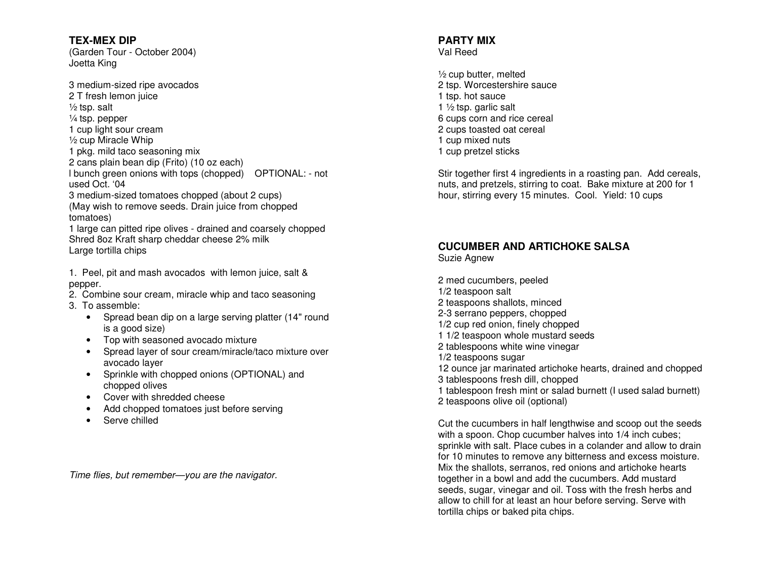**TEX-MEX DIP** (Garden Tour - October 2004) Joetta King

3 medium-sized ripe avocados 2 T fresh lemon juice  $\frac{1}{2}$  tsp. salt ¼ tsp. pepper 1 cup light sour cream ½ cup Miracle Whip 1 pkg. mild taco seasoning mix 2 cans plain bean dip (Frito) (10 oz each) I bunch green onions with tops (chopped) OPTIONAL: - not used Oct. '04 3 medium-sized tomatoes chopped (about 2 cups) (May wish to remove seeds. Drain juice from choppedtomatoes) 1 large can pitted ripe olives - drained and coarsely chopped Shred 8oz Kraft sharp cheddar cheese 2% milk Large tortilla chips

1. Peel, pit and mash avocados with lemon juice, salt & pepper.

- 2. Combine sour cream, miracle whip and taco seasoning
- 3. To assemble:
	- Spread bean dip on a large serving platter (14" round is a good size)
	- Top with seasoned avocado mixture
	- Spread layer of sour cream/miracle/taco mixture over avocado layer
	- Sprinkle with chopped onions (OPTIONAL) and chopped olives
	- Cover with shredded cheese
	- Add chopped tomatoes just before serving
	- Serve chilled

Time flies, but remember—you are the navigator.

#### **PARTY MIX** Val Reed

½ cup butter, melted 2 tsp. Worcestershire sauce 1 tsp. hot sauce 1 ½ tsp. garlic salt 6 cups corn and rice cereal 2 cups toasted oat cereal 1 cup mixed nuts 1 cup pretzel sticks

Stir together first 4 ingredients in a roasting pan. Add cereals, nuts, and pretzels, stirring to coat. Bake mixture at 200 for 1 hour, stirring every 15 minutes. Cool. Yield: 10 cups

# **CUCUMBER AND ARTICHOKE SALSA**

Suzie Agnew

2 med cucumbers, peeled 1/2 teaspoon salt 2 teaspoons shallots, minced 2-3 serrano peppers, chopped 1/2 cup red onion, finely chopped 1 1/2 teaspoon whole mustard seeds 2 tablespoons white wine vinegar 1/2 teaspoons sugar 12 ounce jar marinated artichoke hearts, drained and chopped 3 tablespoons fresh dill, chopped 1 tablespoon fresh mint or salad burnett (I used salad burnett) 2 teaspoons olive oil (optional)

Cut the cucumbers in half lengthwise and scoop out the seeds with a spoon. Chop cucumber halves into  $1/4$  inch cubes; sprinkle with salt. Place cubes in a colander and allow to drain for 10 minutes to remove any bitterness and excess moisture. Mix the shallots, serranos, red onions and artichoke hearts together in a bowl and add the cucumbers. Add mustard seeds, sugar, vinegar and oil. Toss with the fresh herbs and allow to chill for at least an hour before serving. Serve with tortilla chips or baked pita chips.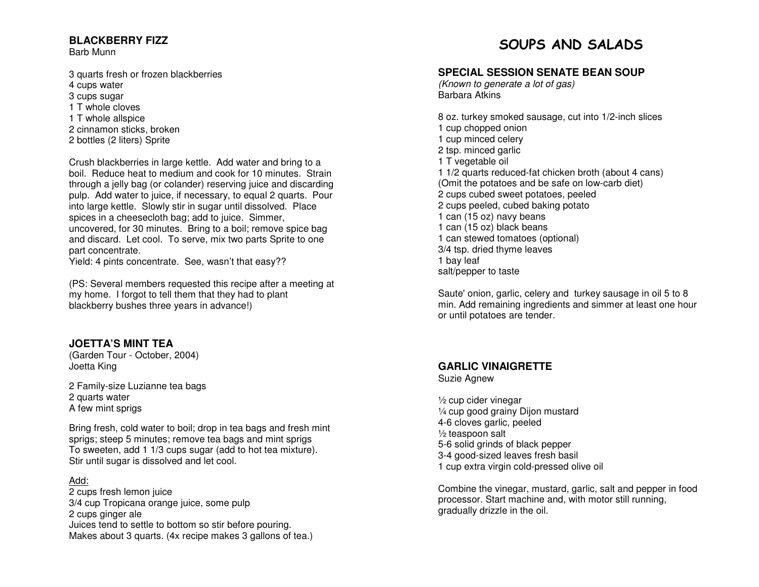## **BLACKBERRY FIZZ**

Barb Munn

3 quarts fresh or frozen blackberries 4 cups water 3 cups sugar 1 T whole cloves 1 T whole allspice 2 cinnamon sticks, broken 2 bottles (2 liters) Sprite

Crush blackberries in large kettle. Add water and bring to a boil. Reduce heat to medium and cook for 10 minutes. Strain through a jelly bag (or colander) reserving juice and discarding pulp. Add water to juice, if necessary, to equal 2 quarts. Pour into large kettle. Slowly stir in sugar until dissolved. Place spices in a cheesecloth bag; add to juice. Simmer, uncovered, for 30 minutes. Bring to a boil; remove spice bag and discard. Let cool. To serve, mix two parts Sprite to one part concentrate.

Yield: 4 pints concentrate. See, wasn't that easy??

(PS: Several members requested this recipe after a meeting at my home. I forgot to tell them that they had to plant blackberry bushes three years in advance!)

## **JOETTA'S MINT TEA**

 (Garden Tour - October, 2004) Joetta King

2 Family-size Luzianne tea bags 2 quarts water A few mint sprigs

Bring fresh, cold water to boil; drop in tea bags and fresh mint sprigs; steep 5 minutes; remove tea bags and mint sprigs To sweeten, add 1 1/3 cups sugar (add to hot tea mixture). Stir until sugar is dissolved and let cool.

#### Add:

 2 cups fresh lemon juice 3/4 cup Tropicana orange juice, some pulp 2 cups ginger ale Juices tend to settle to bottom so stir before pouring. Makes about 3 quarts. (4x recipe makes 3 gallons of tea.)

# SOUPS AND SALADS

## **SPECIAL SESSION SENATE BEAN SOUP**

(Known to generate a lot of gas) Barbara Atkins

8 oz. turkey smoked sausage, cut into 1/2-inch slices 1 cup chopped onion 1 cup minced celery 2 tsp. minced garlic 1 T vegetable oil 1 1/2 quarts reduced-fat chicken broth (about 4 cans) (Omit the potatoes and be safe on low-carb diet) 2 cups cubed sweet potatoes, peeled 2 cups peeled, cubed baking potato 1 can (15 oz) navy beans 1 can (15 oz) black beans 1 can stewed tomatoes (optional) 3/4 tsp. dried thyme leaves 1 bay leaf salt/pepper to taste

Saute' onion, garlic, celery and turkey sausage in oil 5 to 8 min. Add remaining ingredients and simmer at least one hour or until potatoes are tender.

#### **GARLIC VINAIGRETTE**

Suzie Agnew

½ cup cider vinegar ¼ cup good grainy Dijon mustard 4-6 cloves garlic, peeled ½ teaspoon salt 5-6 solid grinds of black pepper 3-4 good-sized leaves fresh basil 1 cup extra virgin cold-pressed olive oil

Combine the vinegar, mustard, garlic, salt and pepper in food processor. Start machine and, with motor still running, gradually drizzle in the oil.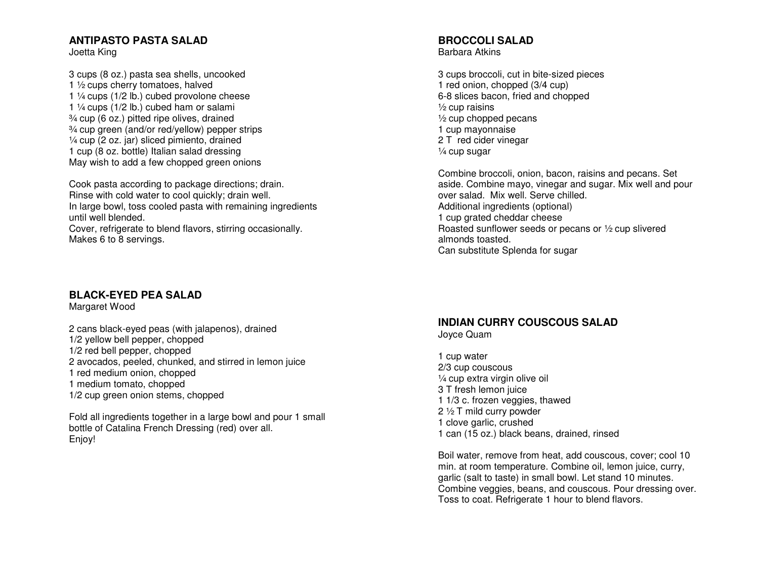# **ANTIPASTO PASTA SALAD**

Joetta King

3 cups (8 oz.) pasta sea shells, uncooked 1 ½ cups cherry tomatoes, halved 1 ¼ cups (1/2 lb.) cubed provolone cheese 1 ¼ cups (1/2 lb.) cubed ham or salami ¾ cup (6 oz.) pitted ripe olives, drained ¾ cup green (and/or red/yellow) pepper strips ¼ cup (2 oz. jar) sliced pimiento, drained 1 cup (8 oz. bottle) Italian salad dressing May wish to add a few chopped green onions

Cook pasta according to package directions; drain. Rinse with cold water to cool quickly; drain well. In large bowl, toss cooled pasta with remaining ingredients until well blended.

 Cover, refrigerate to blend flavors, stirring occasionally. Makes 6 to 8 servings.

# **BLACK-EYED PEA SALAD**

Margaret Wood

2 cans black-eyed peas (with jalapenos), drained 1/2 yellow bell pepper, chopped 1/2 red bell pepper, chopped 2 avocados, peeled, chunked, and stirred in lemon juice 1 red medium onion, chopped 1 medium tomato, chopped 1/2 cup green onion stems, chopped

Fold all ingredients together in a large bowl and pour 1 small bottle of Catalina French Dressing (red) over all. Enjoy!

# **BROCCOLI SALAD**

Barbara Atkins

3 cups broccoli, cut in bite-sized pieces 1 red onion, chopped (3/4 cup) 6-8 slices bacon, fried and chopped  $\frac{1}{2}$  cup raisins ½ cup chopped pecans 1 cup mayonnaise 2 T red cider vinegar ¼ cup sugar

Combine broccoli, onion, bacon, raisins and pecans. Set aside. Combine mayo, vinegar and sugar. Mix well and pour over salad. Mix well. Serve chilled. Additional ingredients (optional) 1 cup grated cheddar cheese Roasted sunflower seeds or pecans or ½ cup sliveredalmonds toasted. Can substitute Splenda for sugar

# **INDIAN CURRY COUSCOUS SALAD**

Joyce Quam

1 cup water 2/3 cup couscous ¼ cup extra virgin olive oil 3 T fresh lemon juice 1 1/3 c. frozen veggies, thawed 2 ½ T mild curry powder 1 clove garlic, crushed 1 can (15 oz.) black beans, drained, rinsed

Boil water, remove from heat, add couscous, cover; cool 10 min. at room temperature. Combine oil, lemon juice, curry, garlic (salt to taste) in small bowl. Let stand 10 minutes. Combine veggies, beans, and couscous. Pour dressing over. Toss to coat. Refrigerate 1 hour to blend flavors.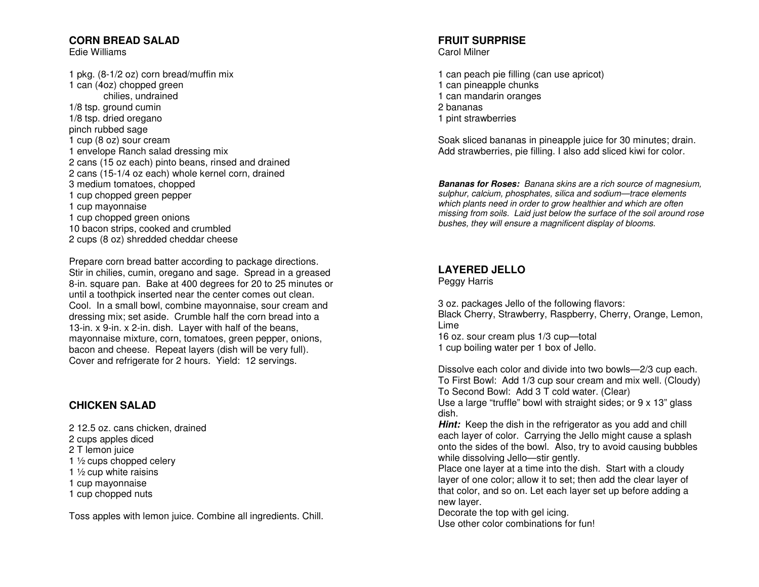# **CORN BREAD SALAD**

Edie Williams

1 pkg. (8-1/2 oz) corn bread/muffin mix 1 can (4oz) chopped green chilies, undrained 1/8 tsp. ground cumin 1/8 tsp. dried oregano pinch rubbed sage 1 cup (8 oz) sour cream 1 envelope Ranch salad dressing mix 2 cans (15 oz each) pinto beans, rinsed and drained 2 cans (15-1/4 oz each) whole kernel corn, drained 3 medium tomatoes, chopped 1 cup chopped green pepper 1 cup mayonnaise 1 cup chopped green onions 10 bacon strips, cooked and crumbled 2 cups (8 oz) shredded cheddar cheese

Prepare corn bread batter according to package directions. Stir in chilies, cumin, oregano and sage. Spread in a greased 8-in. square pan. Bake at 400 degrees for 20 to 25 minutes or until a toothpick inserted near the center comes out clean. Cool. In a small bowl, combine mayonnaise, sour cream and dressing mix; set aside. Crumble half the corn bread into a 13-in. x 9-in. x 2-in. dish. Layer with half of the beans, mayonnaise mixture, corn, tomatoes, green pepper, onions, bacon and cheese. Repeat layers (dish will be very full). Cover and refrigerate for 2 hours. Yield: 12 servings.

## **CHICKEN SALAD**

2 12.5 oz. cans chicken, drained 2 cups apples diced 2 T lemon juice 1 1/<sub>2</sub> cups chopped celery 1 ½ cup white raisins 1 cup mayonnaise 1 cup chopped nuts

Toss apples with lemon juice. Combine all ingredients. Chill.

# **FRUIT SURPRISE**

Carol Milner

1 can peach pie filling (can use apricot) 1 can pineapple chunks 1 can mandarin oranges 2 bananas 1 pint strawberries

Soak sliced bananas in pineapple juice for 30 minutes; drain. Add strawberries, pie filling. I also add sliced kiwi for color.

**Bananas for Roses:** Banana skins are a rich source of magnesium, sulphur, calcium, phosphates, silica and sodium—trace elements which plants need in order to grow healthier and which are often missing from soils. Laid just below the surface of the soil around rose bushes, they will ensure a magnificent display of blooms.

#### **LAYERED JELLO**

Peggy Harris

3 oz. packages Jello of the following flavors: Black Cherry, Strawberry, Raspberry, Cherry, Orange, Lemon, Lime

 16 oz. sour cream plus 1/3 cup—total 1 cup boiling water per 1 box of Jello.

Dissolve each color and divide into two bowls—2/3 cup each. To First Bowl: Add 1/3 cup sour cream and mix well. (Cloudy) To Second Bowl: Add 3 T cold water. (Clear)

 Use a large "truffle" bowl with straight sides; or 9 x 13" glass dish.

 **Hint:** Keep the dish in the refrigerator as you add and chill each layer of color. Carrying the Jello might cause a splash onto the sides of the bowl. Also, try to avoid causing bubbles while dissolving Jello—stir gently.

 Place one layer at a time into the dish. Start with a cloudy layer of one color; allow it to set; then add the clear layer of that color, and so on. Let each layer set up before adding a new layer.

 Decorate the top with gel icing. Use other color combinations for fun!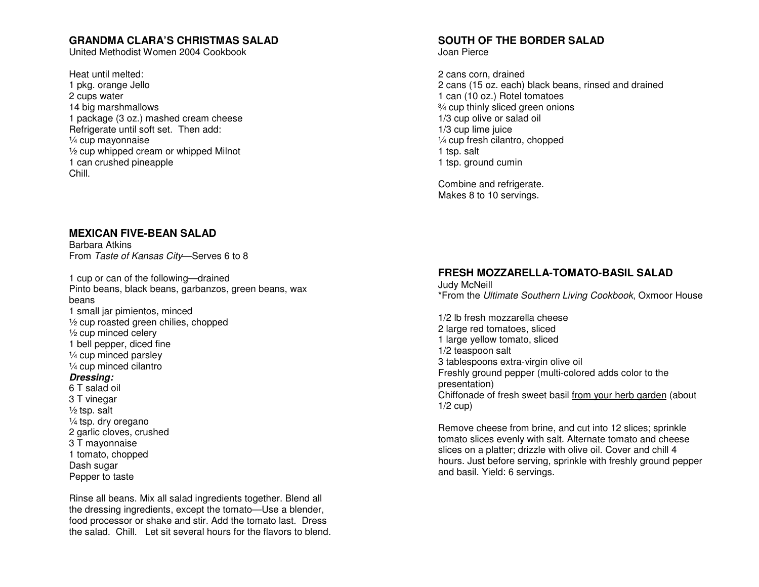#### **GRANDMA CLARA'S CHRISTMAS SALAD**

United Methodist Women 2004 Cookbook

Heat until melted: 1 pkg. orange Jello 2 cups water 14 big marshmallows 1 package (3 oz.) mashed cream cheese Refrigerate until soft set. Then add: ¼ cup mayonnaise ½ cup whipped cream or whipped Milnot 1 can crushed pineapple Chill.

#### **MEXICAN FIVE-BEAN SALAD**

Barbara Atkins From Taste of Kansas City—Serves 6 to 8

1 cup or can of the following—drained Pinto beans, black beans, garbanzos, green beans, wax beans 1 small jar pimientos, minced ½ cup roasted green chilies, chopped ½ cup minced celery 1 bell pepper, diced fine ¼ cup minced parsley ¼ cup minced cilantro **Dressing:**  6 T salad oil 3 T vinegar  $\frac{1}{2}$  tsp. salt ¼ tsp. dry oregano 2 garlic cloves, crushed 3 T mayonnaise 1 tomato, chopped Dash sugar

Pepper to taste

Rinse all beans. Mix all salad ingredients together. Blend all the dressing ingredients, except the tomato—Use a blender, food processor or shake and stir. Add the tomato last. Dress the salad. Chill. Let sit several hours for the flavors to blend.

# **SOUTH OF THE BORDER SALAD**

Joan Pierce

2 cans corn, drained 2 cans (15 oz. each) black beans, rinsed and drained 1 can (10 oz.) Rotel tomatoes ¾ cup thinly sliced green onions 1/3 cup olive or salad oil 1/3 cup lime juice ¼ cup fresh cilantro, chopped 1 tsp. salt 1 tsp. ground cumin

Combine and refrigerate. Makes 8 to 10 servings.

#### **FRESH MOZZARELLA-TOMATO-BASIL SALAD**

Judy McNeill \*From the Ultimate Southern Living Cookbook, Oxmoor House

1/2 lb fresh mozzarella cheese 2 large red tomatoes, sliced 1 large yellow tomato, sliced 1/2 teaspoon salt 3 tablespoons extra-virgin olive oil Freshly ground pepper (multi-colored adds color to the presentation) Chiffonade of fresh sweet basil from your herb garden (about  $1/2$  cup)

Remove cheese from brine, and cut into 12 slices; sprinkle tomato slices evenly with salt. Alternate tomato and cheese slices on a platter; drizzle with olive oil. Cover and chill 4 hours. Just before serving, sprinkle with freshly ground pepper and basil. Yield: 6 servings.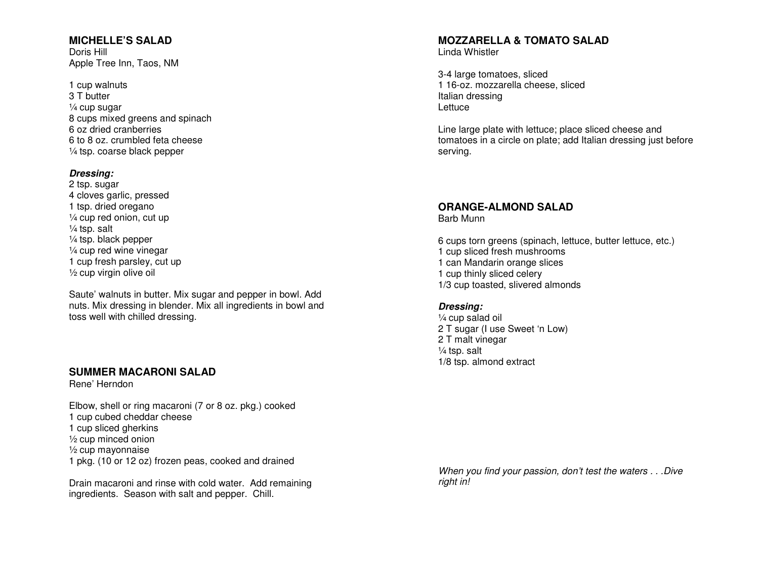#### **MICHELLE'S SALAD**

Doris Hill Apple Tree Inn, Taos, NM

#### 1 cup walnuts 3 T butter ¼ cup sugar 8 cups mixed greens and spinach 6 oz dried cranberries 6 to 8 oz. crumbled feta cheese ¼ tsp. coarse black pepper

#### **Dressing:**

 2 tsp. sugar 4 cloves garlic, pressed 1 tsp. dried oregano ¼ cup red onion, cut up ¼ tsp. salt ¼ tsp. black pepper ¼ cup red wine vinegar 1 cup fresh parsley, cut up ½ cup virgin olive oil

Saute' walnuts in butter. Mix sugar and pepper in bowl. Add nuts. Mix dressing in blender. Mix all ingredients in bowl and toss well with chilled dressing.

#### **SUMMER MACARONI SALAD**

Rene' Herndon

Elbow, shell or ring macaroni (7 or 8 oz. pkg.) cooked 1 cup cubed cheddar cheese 1 cup sliced gherkins ½ cup minced onion ½ cup mayonnaise 1 pkg. (10 or 12 oz) frozen peas, cooked and drained

Drain macaroni and rinse with cold water. Add remaining ingredients. Season with salt and pepper. Chill.

#### **MOZZARELLA & TOMATO SALAD**

Linda Whistler

3-4 large tomatoes, sliced 1 16-oz. mozzarella cheese, sliced Italian dressing Lettuce

Line large plate with lettuce; place sliced cheese and tomatoes in a circle on plate; add Italian dressing just before serving.

# **ORANGE-ALMOND SALAD**

Barb Munn

6 cups torn greens (spinach, lettuce, butter lettuce, etc.) 1 cup sliced fresh mushrooms 1 can Mandarin orange slices 1 cup thinly sliced celery 1/3 cup toasted, slivered almonds

#### **Dressing:**

 ¼ cup salad oil 2 T sugar (I use Sweet 'n Low) 2 T malt vinegar ¼ tsp. salt 1/8 tsp. almond extract

When you find your passion, don't test the waters . . .Dive right in!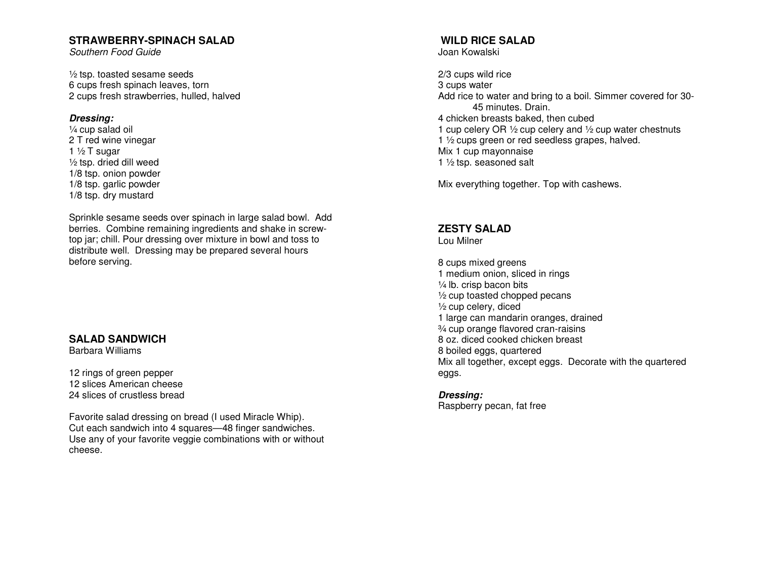#### **STRAWBERRY-SPINACH SALAD**

Southern Food Guide

½ tsp. toasted sesame seeds 6 cups fresh spinach leaves, torn 2 cups fresh strawberries, hulled, halved

#### **Dressing:**

 ¼ cup salad oil 2 T red wine vinegar 1  $\frac{1}{2}$  T sugar ½ tsp. dried dill weed 1/8 tsp. onion powder 1/8 tsp. garlic powder 1/8 tsp. dry mustard

Sprinkle sesame seeds over spinach in large salad bowl. Add berries. Combine remaining ingredients and shake in screwtop jar; chill. Pour dressing over mixture in bowl and toss to distribute well. Dressing may be prepared several hours before serving.

## **SALAD SANDWICH**

Barbara Williams

12 rings of green pepper 12 slices American cheese 24 slices of crustless bread

Favorite salad dressing on bread (I used Miracle Whip). Cut each sandwich into 4 squares—48 finger sandwiches. Use any of your favorite veggie combinations with or without cheese.

# **WILD RICE SALAD**

Joan Kowalski

2/3 cups wild rice 3 cups water Add rice to water and bring to a boil. Simmer covered for 30- 45 minutes. Drain. 4 chicken breasts baked, then cubed 1 cup celery OR ½ cup celery and ½ cup water chestnuts 1 ½ cups green or red seedless grapes, halved. Mix 1 cup mayonnaise 1 ½ tsp. seasoned salt

Mix everything together. Top with cashews.

## **ZESTY SALAD**

Lou Milner

8 cups mixed greens 1 medium onion, sliced in rings ¼ lb. crisp bacon bits ½ cup toasted chopped pecans ½ cup celery, diced 1 large can mandarin oranges, drained ¾ cup orange flavored cran-raisins 8 oz. diced cooked chicken breast 8 boiled eggs, quartered Mix all together, except eggs. Decorate with the quartered eggs.

#### **Dressing:**

Raspberry pecan, fat free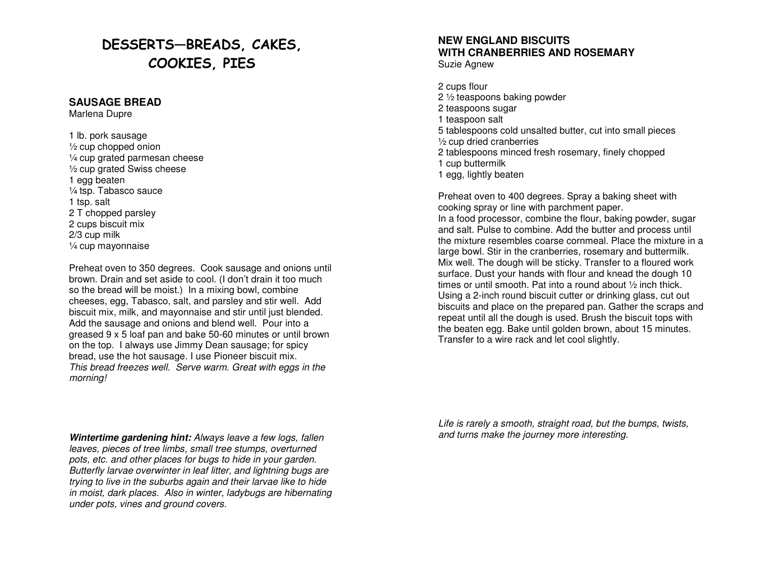# DESSERTS—BREADS, CAKES, COOKIES, PIES

#### **SAUSAGE BREAD**

Marlena Dupre

1 lb. pork sausage ½ cup chopped onion ¼ cup grated parmesan cheese ½ cup grated Swiss cheese 1 egg beaten ¼ tsp. Tabasco sauce 1 tsp. salt 2 T chopped parsley 2 cups biscuit mix 2/3 cup milk ¼ cup mayonnaise

Preheat oven to 350 degrees. Cook sausage and onions until brown. Drain and set aside to cool. (I don't drain it too much so the bread will be moist.) In a mixing bowl, combine cheeses, egg, Tabasco, salt, and parsley and stir well. Add biscuit mix, milk, and mayonnaise and stir until just blended. Add the sausage and onions and blend well. Pour into a greased 9 x 5 loaf pan and bake 50-60 minutes or until brown on the top. I always use Jimmy Dean sausage; for spicy bread, use the hot sausage. I use Pioneer biscuit mix. This bread freezes well. Serve warm. Great with eggs in the morning!

**Wintertime gardening hint:** Always leave a few logs, fallen leaves, pieces of tree limbs, small tree stumps, overturned pots, etc. and other places for bugs to hide in your garden. Butterfly larvae overwinter in leaf litter, and lightning bugs are trying to live in the suburbs again and their larvae like to hide in moist, dark places. Also in winter, ladybugs are hibernating under pots, vines and ground covers.

# **NEW ENGLAND BISCUITS WITH CRANBERRIES AND ROSEMARY**

Suzie Agnew

2 cups flour 2 ½ teaspoons baking powder 2 teaspoons sugar 1 teaspoon salt 5 tablespoons cold unsalted butter, cut into small pieces ½ cup dried cranberries 2 tablespoons minced fresh rosemary, finely chopped1 cup buttermilk 1 egg, lightly beaten

Preheat oven to 400 degrees. Spray a baking sheet with cooking spray or line with parchment paper. In a food processor, combine the flour, baking powder, sugar and salt. Pulse to combine. Add the butter and process until the mixture resembles coarse cornmeal. Place the mixture in a large bowl. Stir in the cranberries, rosemary and buttermilk. Mix well. The dough will be sticky. Transfer to a floured work surface. Dust your hands with flour and knead the dough 10 times or until smooth. Pat into a round about ½ inch thick. Using a 2-inch round biscuit cutter or drinking glass, cut out biscuits and place on the prepared pan. Gather the scraps and repeat until all the dough is used. Brush the biscuit tops with the beaten egg. Bake until golden brown, about 15 minutes. Transfer to a wire rack and let cool slightly.

Life is rarely a smooth, straight road, but the bumps, twists, and turns make the journey more interesting.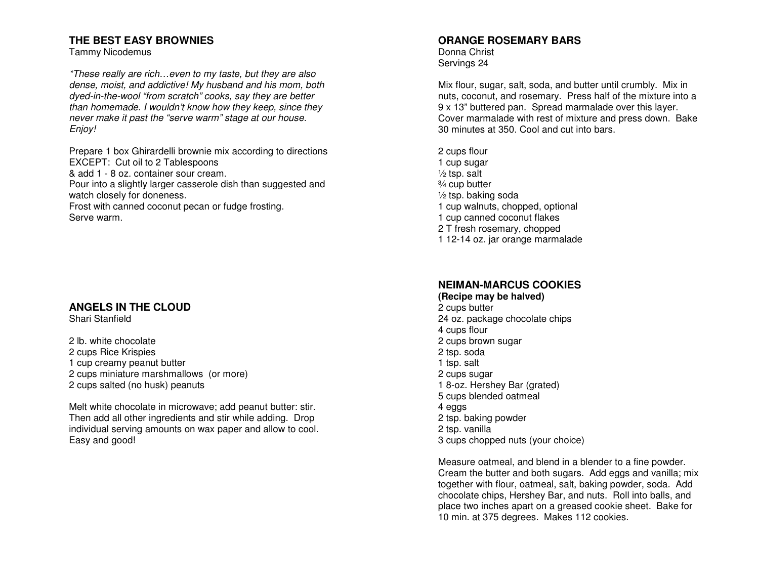## **THE BEST EASY BROWNIES**

Tammy Nicodemus

\*These really are rich…even to my taste, but they are also dense, moist, and addictive! My husband and his mom, both dyed-in-the-wool "from scratch" cooks, say they are better than homemade. I wouldn't know how they keep, since they never make it past the "serve warm" stage at our house. Enjoy!

Prepare 1 box Ghirardelli brownie mix according to directions EXCEPT: Cut oil to 2 Tablespoons & add 1 - 8 oz. container sour cream. Pour into a slightly larger casserole dish than suggested and watch closely for doneness.

 Frost with canned coconut pecan or fudge frosting. Serve warm.

## **ANGELS IN THE CLOUD**

Shari Stanfield

2 lb. white chocolate 2 cups Rice Krispies 1 cup creamy peanut butter 2 cups miniature marshmallows (or more) 2 cups salted (no husk) peanuts

Melt white chocolate in microwave; add peanut butter: stir. Then add all other ingredients and stir while adding. Drop individual serving amounts on wax paper and allow to cool. Easy and good!

#### **ORANGE ROSEMARY BARS**

Donna Christ Servings 24

Mix flour, sugar, salt, soda, and butter until crumbly. Mix in nuts, coconut, and rosemary. Press half of the mixture into a 9 x 13" buttered pan. Spread marmalade over this layer. Cover marmalade with rest of mixture and press down. Bake 30 minutes at 350. Cool and cut into bars.

2 cups flour 1 cup sugar  $\frac{1}{2}$  tsp. salt ¾ cup butter ½ tsp. baking soda 1 cup walnuts, chopped, optional 1 cup canned coconut flakes 2 T fresh rosemary, chopped 1 12-14 oz. jar orange marmalade

# **NEIMAN-MARCUS COOKIES**

**(Recipe may be halved)**2 cups butter 24 oz. package chocolate chips 4 cups flour 2 cups brown sugar 2 tsp. soda 1 tsp. salt 2 cups sugar 1 8-oz. Hershey Bar (grated) 5 cups blended oatmeal 4 eggs 2 tsp. baking powder 2 tsp. vanilla 3 cups chopped nuts (your choice)

Measure oatmeal, and blend in a blender to a fine powder. Cream the butter and both sugars. Add eggs and vanilla; mix together with flour, oatmeal, salt, baking powder, soda. Add chocolate chips, Hershey Bar, and nuts. Roll into balls, and place two inches apart on a greased cookie sheet. Bake for 10 min. at 375 degrees. Makes 112 cookies.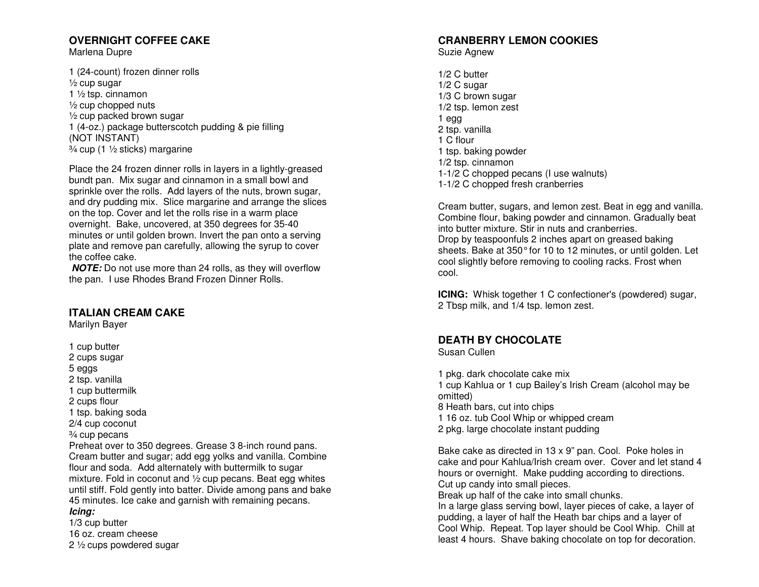# **OVERNIGHT COFFEE CAKE**

Marlena Dupre

1 (24-count) frozen dinner rolls ½ cup sugar 1 ½ tsp. cinnamon ½ cup chopped nuts ½ cup packed brown sugar 1 (4-oz.) package butterscotch pudding & pie filling (NOT INSTANT) ¾ cup (1 ½ sticks) margarine

Place the 24 frozen dinner rolls in layers in a lightly-greased bundt pan. Mix sugar and cinnamon in a small bowl and sprinkle over the rolls. Add layers of the nuts, brown sugar, and dry pudding mix. Slice margarine and arrange the slices on the top. Cover and let the rolls rise in a warm place overnight. Bake, uncovered, at 350 degrees for 35-40 minutes or until golden brown. Invert the pan onto a serving plate and remove pan carefully, allowing the syrup to cover the coffee cake.

 **NOTE:** Do not use more than 24 rolls, as they will overflow the pan. I use Rhodes Brand Frozen Dinner Rolls.

#### **ITALIAN CREAM CAKE**

Marilyn Bayer

1 cup butter 2 cups sugar 5 eggs 2 tsp. vanilla 1 cup buttermilk 2 cups flour 1 tsp. baking soda 2/4 cup coconut ¾ cup pecans Preheat over to 350 degrees. Grease 3 8-inch round pans. Cream butter and sugar; add egg yolks and vanilla. Combine flour and soda. Add alternately with buttermilk to sugar mixture. Fold in coconut and ½ cup pecans. Beat egg whites until stiff. Fold gently into batter. Divide among pans and bake 45 minutes. Ice cake and garnish with remaining pecans. **Icing:** 

 1/3 cup butter 16 oz. cream cheese 2 ½ cups powdered sugar

## **CRANBERRY LEMON COOKIES**

Suzie Agnew

1/2 C butter 1/2 C sugar 1/3 C brown sugar 1/2 tsp. lemon zest 1 egg 2 tsp. vanilla 1 C flour 1 tsp. baking powder 1/2 tsp. cinnamon 1-1/2 C chopped pecans (I use walnuts) 1-1/2 C chopped fresh cranberries

Cream butter, sugars, and lemon zest. Beat in egg and vanilla. Combine flour, baking powder and cinnamon. Gradually beat into butter mixture. Stir in nuts and cranberries. Drop by teaspoonfuls 2 inches apart on greased baking sheets. Bake at 350° for 10 to 12 minutes, or until golden. Let cool slightly before removing to cooling racks. Frost when cool.

**ICING:** Whisk together 1 C confectioner's (powdered) sugar, 2 Tbsp milk, and 1/4 tsp. lemon zest.

# **DEATH BY CHOCOLATE**

Susan Cullen

1 pkg. dark chocolate cake mix 1 cup Kahlua or 1 cup Bailey's Irish Cream (alcohol may be omitted) 8 Heath bars, cut into chips 1 16 oz. tub Cool Whip or whipped cream

2 pkg. large chocolate instant pudding

Bake cake as directed in 13 x 9" pan. Cool. Poke holes in cake and pour Kahlua/Irish cream over. Cover and let stand 4 hours or overnight. Make pudding according to directions. Cut up candy into small pieces.

Break up half of the cake into small chunks.

 In a large glass serving bowl, layer pieces of cake, a layer of pudding, a layer of half the Heath bar chips and a layer of Cool Whip. Repeat. Top layer should be Cool Whip. Chill at least 4 hours. Shave baking chocolate on top for decoration.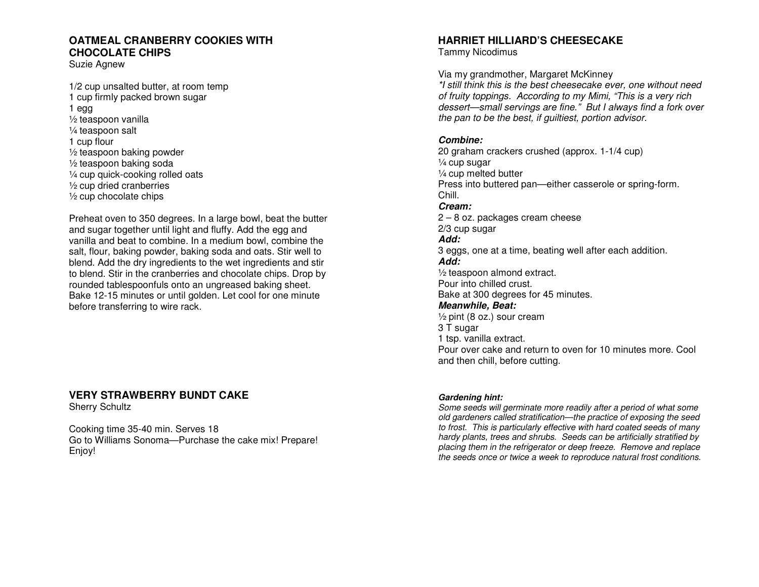## **OATMEAL CRANBERRY COOKIES WITH CHOCOLATE CHIPS**

Suzie Agnew

1/2 cup unsalted butter, at room temp 1 cup firmly packed brown sugar 1 egg ½ teaspoon vanilla ¼ teaspoon salt 1 cup flour ½ teaspoon baking powder ½ teaspoon baking soda ¼ cup quick-cooking rolled oats ½ cup dried cranberries ½ cup chocolate chips

Preheat oven to 350 degrees. In a large bowl, beat the butter and sugar together until light and fluffy. Add the egg and vanilla and beat to combine. In a medium bowl, combine the salt, flour, baking powder, baking soda and oats. Stir well to blend. Add the dry ingredients to the wet ingredients and stir to blend. Stir in the cranberries and chocolate chips. Drop by rounded tablespoonfuls onto an ungreased baking sheet. Bake 12-15 minutes or until golden. Let cool for one minute before transferring to wire rack.

## **VERY STRAWBERRY BUNDT CAKE**

Sherry Schultz

Cooking time 35-40 min. Serves 18 Go to Williams Sonoma—Purchase the cake mix! Prepare! Enjoy!

# **HARRIET HILLIARD'S CHEESECAKE**

Tammy Nicodimus

Via my grandmother, Margaret McKinney

 \*I still think this is the best cheesecake ever, one without need of fruity toppings. According to my Mimi, "This is a very rich dessert—small servings are fine." But I always find a fork over the pan to be the best, if guiltiest, portion advisor.

#### **Combine:**

 20 graham crackers crushed (approx. 1-1/4 cup) ¼ cup sugar ¼ cup melted butter Press into buttered pan—either casserole or spring-form. Chill. **Cream:**  2 – 8 oz. packages cream cheese 2/3 cup sugar **Add:**  3 eggs, one at a time, beating well after each addition. **Add:**  ½ teaspoon almond extract. Pour into chilled crust. Bake at 300 degrees for 45 minutes. **Meanwhile, Beat:**  ½ pint (8 oz.) sour cream 3 T sugar 1 tsp. vanilla extract. Pour over cake and return to oven for 10 minutes more. Cool and then chill, before cutting.

#### **Gardening hint:**

 Some seeds will germinate more readily after a period of what some old gardeners called stratification—the practice of exposing the seed to frost. This is particularly effective with hard coated seeds of many hardy plants, trees and shrubs. Seeds can be artificially stratified by placing them in the refrigerator or deep freeze. Remove and replace the seeds once or twice a week to reproduce natural frost conditions.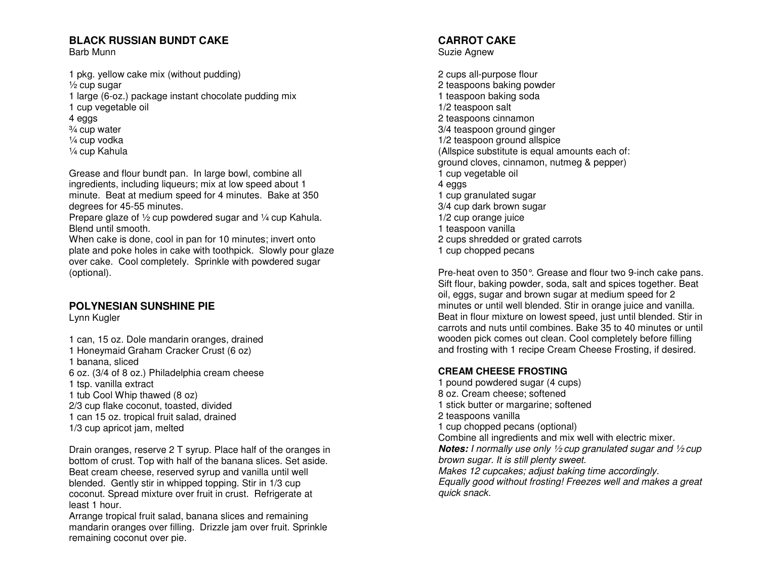# **BLACK RUSSIAN BUNDT CAKE**

Barb Munn

1 pkg. yellow cake mix (without pudding) ½ cup sugar 1 large (6-oz.) package instant chocolate pudding mix 1 cup vegetable oil 4 eggs ¾ cup water ¼ cup vodka ¼ cup Kahula

Grease and flour bundt pan. In large bowl, combine all ingredients, including liqueurs; mix at low speed about 1 minute. Beat at medium speed for 4 minutes. Bake at 350 degrees for 45-55 minutes.

Prepare glaze of 1/2 cup powdered sugar and 1/4 cup Kahula. Blend until smooth.

 When cake is done, cool in pan for 10 minutes; invert onto plate and poke holes in cake with toothpick. Slowly pour glaze over cake. Cool completely. Sprinkle with powdered sugar (optional).

# **POLYNESIAN SUNSHINE PIE**

Lynn Kugler

1 can, 15 oz. Dole mandarin oranges, drained 1 Honeymaid Graham Cracker Crust (6 oz) 1 banana, sliced 6 oz. (3/4 of 8 oz.) Philadelphia cream cheese 1 tsp. vanilla extract 1 tub Cool Whip thawed (8 oz) 2/3 cup flake coconut, toasted, divided 1 can 15 oz. tropical fruit salad, drained 1/3 cup apricot jam, melted

Drain oranges, reserve 2 T syrup. Place half of the oranges in bottom of crust. Top with half of the banana slices. Set aside. Beat cream cheese, reserved syrup and vanilla until well blended. Gently stir in whipped topping. Stir in 1/3 cup coconut. Spread mixture over fruit in crust. Refrigerate at least 1 hour.

 Arrange tropical fruit salad, banana slices and remaining mandarin oranges over filling. Drizzle jam over fruit. Sprinkle remaining coconut over pie.

#### **CARROT CAKE** Suzie Agnew

2 cups all-purpose flour 2 teaspoons baking powder 1 teaspoon baking soda 1/2 teaspoon salt 2 teaspoons cinnamon 3/4 teaspoon ground ginger 1/2 teaspoon ground allspice (Allspice substitute is equal amounts each of: ground cloves, cinnamon, nutmeg & pepper) 1 cup vegetable oil 4 eggs 1 cup granulated sugar 3/4 cup dark brown sugar 1/2 cup orange juice 1 teaspoon vanilla 2 cups shredded or grated carrots 1 cup chopped pecans

Pre-heat oven to 350°. Grease and flour two 9-inch cake pans. Sift flour, baking powder, soda, salt and spices together. Beat oil, eggs, sugar and brown sugar at medium speed for 2 minutes or until well blended. Stir in orange juice and vanilla. Beat in flour mixture on lowest speed, just until blended. Stir in carrots and nuts until combines. Bake 35 to 40 minutes or until wooden pick comes out clean. Cool completely before filling and frosting with 1 recipe Cream Cheese Frosting, if desired.

#### **CREAM CHEESE FROSTING**

 1 pound powdered sugar (4 cups) 8 oz. Cream cheese; softened 1 stick butter or margarine; softened 2 teaspoons vanilla 1 cup chopped pecans (optional) Combine all ingredients and mix well with electric mixer. **Notes:** I normally use only ½ cup granulated sugar and ½ cup brown sugar. It is still plenty sweet. Makes 12 cupcakes; adjust baking time accordingly. Equally good without frosting! Freezes well and makes a great quick snack.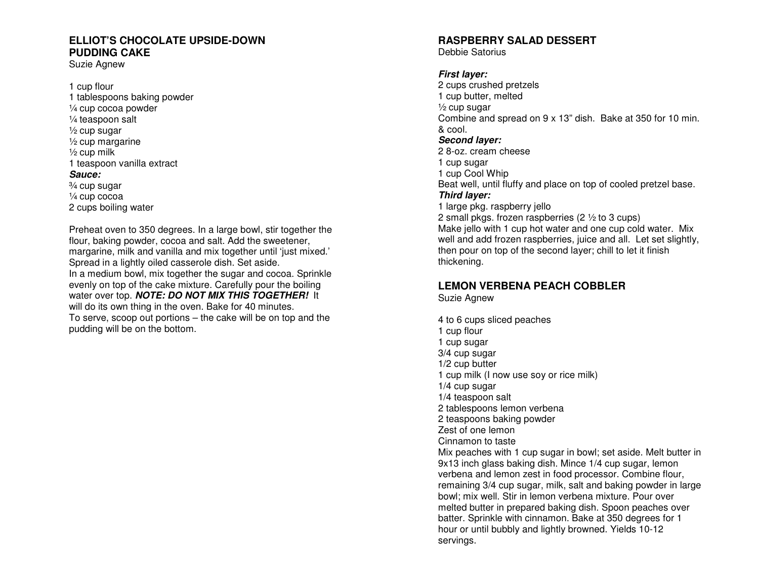## **ELLIOT'S CHOCOLATE UPSIDE-DOWN PUDDING CAKE**

Suzie Agnew

1 cup flour 1 tablespoons baking powder ¼ cup cocoa powder ¼ teaspoon salt  $\frac{1}{2}$  cup sugar ½ cup margarine  $\frac{1}{2}$  cup milk 1 teaspoon vanilla extract **Sauce:**  ¾ cup sugar ¼ cup cocoa 2 cups boiling water

Preheat oven to 350 degrees. In a large bowl, stir together the flour, baking powder, cocoa and salt. Add the sweetener, margarine, milk and vanilla and mix together until 'just mixed.' Spread in a lightly oiled casserole dish. Set aside. In a medium bowl, mix together the sugar and cocoa. Sprinkle evenly on top of the cake mixture. Carefully pour the boiling water over top. **NOTE: DO NOT MIX THIS TOGETHER!** It will do its own thing in the oven. Bake for 40 minutes. To serve, scoop out portions – the cake will be on top and the pudding will be on the bottom.

### **RASPBERRY SALAD DESSERT**

Debbie Satorius

#### **First layer:**

 2 cups crushed pretzels 1 cup butter, melted ½ cup sugar Combine and spread on 9 x 13" dish. Bake at 350 for 10 min. & cool. **Second layer:**  2 8-oz. cream cheese 1 cup sugar 1 cup Cool Whip Beat well, until fluffy and place on top of cooled pretzel base. **Third layer:**  1 large pkg. raspberry jello 2 small pkgs. frozen raspberries (2 ½ to 3 cups)

 Make jello with 1 cup hot water and one cup cold water. Mix well and add frozen raspberries, juice and all. Let set slightly, then pour on top of the second layer; chill to let it finish thickening.

# **LEMON VERBENA PEACH COBBLER**

Suzie Agnew

4 to 6 cups sliced peaches 1 cup flour 1 cup sugar 3/4 cup sugar 1/2 cup butter 1 cup milk (I now use soy or rice milk) 1/4 cup sugar 1/4 teaspoon salt 2 tablespoons lemon verbena 2 teaspoons baking powder Zest of one lemon Cinnamon to taste Mix peaches with 1 cup sugar in bowl; set aside. Melt butter in 9x13 inch glass baking dish. Mince 1/4 cup sugar, lemon verbena and lemon zest in food processor. Combine flour, remaining 3/4 cup sugar, milk, salt and baking powder in large bowl; mix well. Stir in lemon verbena mixture. Pour over melted butter in prepared baking dish. Spoon peaches over batter. Sprinkle with cinnamon. Bake at 350 degrees for 1 hour or until bubbly and lightly browned. Yields 10-12 servings.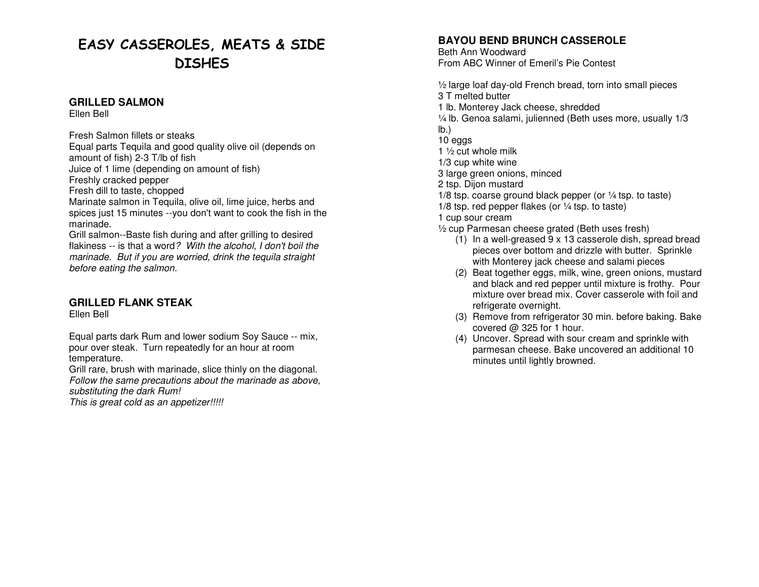# EASY CASSEROLES, MEATS & SIDE **DISHES**

#### **GRILLED SALMON**

Ellen Bell

Fresh Salmon fillets or steaks Equal parts Tequila and good quality olive oil (depends on amount of fish) 2-3 T/lb of fish

Juice of 1 lime (depending on amount of fish)

Freshly cracked pepper

Fresh dill to taste, chopped

 Marinate salmon in Tequila, olive oil, lime juice, herbs and spices just 15 minutes --you don't want to cook the fish in the marinade.

 Grill salmon--Baste fish during and after grilling to desired flakiness -- is that a word? With the alcohol, I don't boil the marinade. But if you are worried, drink the tequila straight before eating the salmon.

## **GRILLED FLANK STEAK**

Ellen Bell

Equal parts dark Rum and lower sodium Soy Sauce -- mix, pour over steak. Turn repeatedly for an hour at room temperature.

 Grill rare, brush with marinade, slice thinly on the diagonal. Follow the same precautions about the marinade as above, substituting the dark Rum!

This is great cold as an appetizer!!!!!

# **BAYOU BEND BRUNCH CASSEROLE**

Beth Ann Woodward From ABC Winner of Emeril's Pie Contest

½ large loaf day-old French bread, torn into small pieces 3 T melted butter 1 lb. Monterey Jack cheese, shredded ¼ lb. Genoa salami, julienned (Beth uses more, usually 1/3 lb.) 10 eggs 1 ½ cut whole milk 1/3 cup white wine 3 large green onions, minced 2 tsp. Dijon mustard 1/8 tsp. coarse ground black pepper (or ¼ tsp. to taste) 1/8 tsp. red pepper flakes (or  $\frac{1}{4}$  tsp. to taste) 1 cup sour cream ½ cup Parmesan cheese grated (Beth uses fresh)

- (1) In a well-greased 9 x 13 casserole dish, spread bread pieces over bottom and drizzle with butter. Sprinkle with Monterey jack cheese and salami pieces
- (2) Beat together eggs, milk, wine, green onions, mustard and black and red pepper until mixture is frothy. Pour mixture over bread mix. Cover casserole with foil and refrigerate overnight.
- (3) Remove from refrigerator 30 min. before baking. Bake covered @ 325 for 1 hour.
- (4) Uncover. Spread with sour cream and sprinkle with parmesan cheese. Bake uncovered an additional 10 minutes until lightly browned.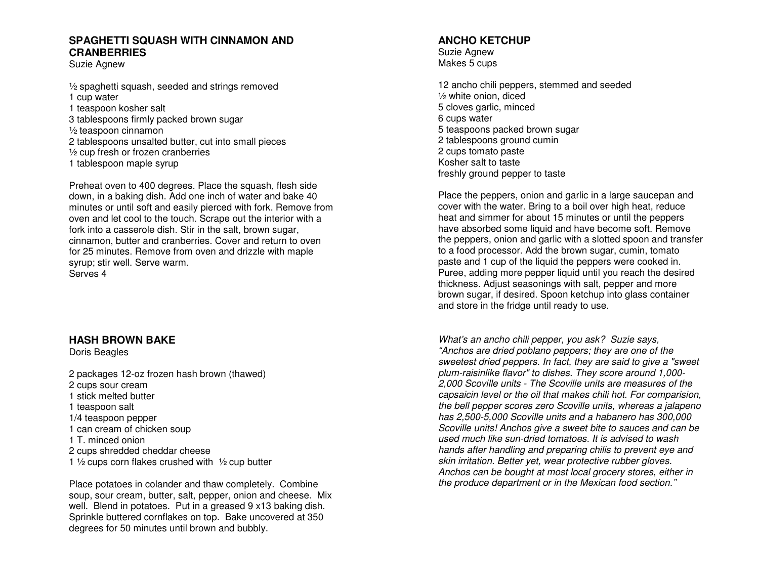#### **SPAGHETTI SQUASH WITH CINNAMON AND CRANBERRIES**

Suzie Agnew

½ spaghetti squash, seeded and strings removed 1 cup water 1 teaspoon kosher salt 3 tablespoons firmly packed brown sugar ½ teaspoon cinnamon 2 tablespoons unsalted butter, cut into small pieces ½ cup fresh or frozen cranberries

1 tablespoon maple syrup

Preheat oven to 400 degrees. Place the squash, flesh side down, in a baking dish. Add one inch of water and bake 40 minutes or until soft and easily pierced with fork. Remove from oven and let cool to the touch. Scrape out the interior with a fork into a casserole dish. Stir in the salt, brown sugar, cinnamon, butter and cranberries. Cover and return to oven for 25 minutes. Remove from oven and drizzle with maple syrup; stir well. Serve warm. Serves 4

## **HASH BROWN BAKE**

Doris Beagles

2 packages 12-oz frozen hash brown (thawed) 2 cups sour cream 1 stick melted butter 1 teaspoon salt 1/4 teaspoon pepper 1 can cream of chicken soup 1 T. minced onion 2 cups shredded cheddar cheese 1  $\frac{1}{2}$  cups corn flakes crushed with  $\frac{1}{2}$  cup butter

Place potatoes in colander and thaw completely. Combine soup, sour cream, butter, salt, pepper, onion and cheese. Mix well. Blend in potatoes. Put in a greased 9 x13 baking dish. Sprinkle buttered cornflakes on top. Bake uncovered at 350 degrees for 50 minutes until brown and bubbly.

#### **ANCHO KETCHUP**

Suzie Agnew Makes 5 cups

12 ancho chili peppers, stemmed and seeded ½ white onion, diced 5 cloves garlic, minced 6 cups water 5 teaspoons packed brown sugar 2 tablespoons ground cumin 2 cups tomato paste Kosher salt to taste freshly ground pepper to taste

Place the peppers, onion and garlic in a large saucepan and cover with the water. Bring to a boil over high heat, reduce heat and simmer for about 15 minutes or until the peppers have absorbed some liquid and have become soft. Remove the peppers, onion and garlic with a slotted spoon and transfer to a food processor. Add the brown sugar, cumin, tomato paste and 1 cup of the liquid the peppers were cooked in. Puree, adding more pepper liquid until you reach the desired thickness. Adjust seasonings with salt, pepper and more brown sugar, if desired. Spoon ketchup into glass container and store in the fridge until ready to use.

What's an ancho chili pepper, you ask? Suzie says, "Anchos are dried poblano peppers; they are one of the sweetest dried peppers. In fact, they are said to give a "sweet plum-raisinlike flavor" to dishes. They score around 1,000- 2,000 Scoville units - The Scoville units are measures of the capsaicin level or the oil that makes chili hot. For comparision, the bell pepper scores zero Scoville units, whereas a jalapeno has 2,500-5,000 Scoville units and a habanero has 300,000 Scoville units! Anchos give a sweet bite to sauces and can be used much like sun-dried tomatoes. It is advised to wash hands after handling and preparing chilis to prevent eye and skin irritation. Better yet, wear protective rubber gloves. Anchos can be bought at most local grocery stores, either in the produce department or in the Mexican food section."